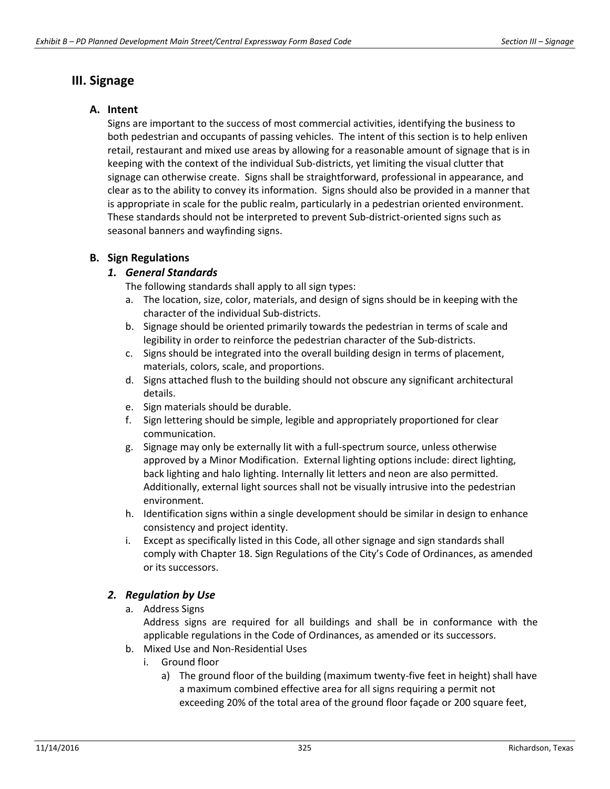# **III. Signage**

### **A. Intent**

Signs are important to the success of most commercial activities, identifying the business to both pedestrian and occupants of passing vehicles. The intent of this section is to help enliven retail, restaurant and mixed use areas by allowing for a reasonable amount of signage that is in keeping with the context of the individual Sub-districts, yet limiting the visual clutter that signage can otherwise create. Signs shall be straightforward, professional in appearance, and clear as to the ability to convey its information. Signs should also be provided in a manner that is appropriate in scale for the public realm, particularly in a pedestrian oriented environment. These standards should not be interpreted to prevent Sub-district-oriented signs such as seasonal banners and wayfinding signs.

### **B. Sign Regulations**

### *1. General Standards*

The following standards shall apply to all sign types:

- a. The location, size, color, materials, and design of signs should be in keeping with the character of the individual Sub-districts.
- b. Signage should be oriented primarily towards the pedestrian in terms of scale and legibility in order to reinforce the pedestrian character of the Sub-districts.
- c. Signs should be integrated into the overall building design in terms of placement, materials, colors, scale, and proportions.
- d. Signs attached flush to the building should not obscure any significant architectural details.
- e. Sign materials should be durable.
- f. Sign lettering should be simple, legible and appropriately proportioned for clear communication.
- g. Signage may only be externally lit with a full-spectrum source, unless otherwise approved by a Minor Modification. External lighting options include: direct lighting, back lighting and halo lighting. Internally lit letters and neon are also permitted. Additionally, external light sources shall not be visually intrusive into the pedestrian environment.
- h. Identification signs within a single development should be similar in design to enhance consistency and project identity.
- i. Except as specifically listed in this Code, all other signage and sign standards shall comply with Chapter 18. Sign Regulations of the City's Code of Ordinances, as amended or its successors.

## *2. Regulation by Use*

a. Address Signs

Address signs are required for all buildings and shall be in conformance with the applicable regulations in the Code of Ordinances, as amended or its successors.

- b. Mixed Use and Non-Residential Uses
	- i. Ground floor
		- a) The ground floor of the building (maximum twenty-five feet in height) shall have a maximum combined effective area for all signs requiring a permit not exceeding 20% of the total area of the ground floor façade or 200 square feet,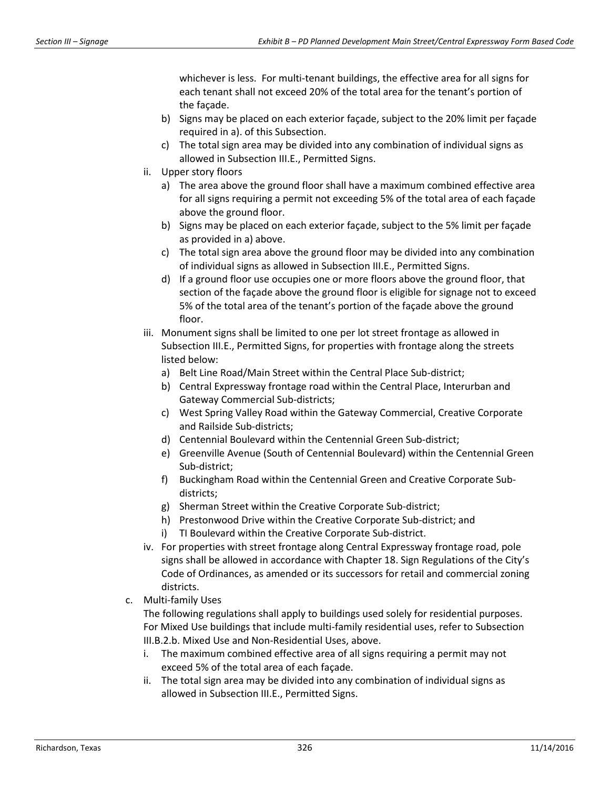whichever is less. For multi-tenant buildings, the effective area for all signs for each tenant shall not exceed 20% of the total area for the tenant's portion of the façade.

- b) Signs may be placed on each exterior façade, subject to the 20% limit per façade required in a). of this Subsection.
- c) The total sign area may be divided into any combination of individual signs as allowed in Subsection III.E., Permitted Signs.
- ii. Upper story floors
	- a) The area above the ground floor shall have a maximum combined effective area for all signs requiring a permit not exceeding 5% of the total area of each façade above the ground floor.
	- b) Signs may be placed on each exterior façade, subject to the 5% limit per façade as provided in a) above.
	- c) The total sign area above the ground floor may be divided into any combination of individual signs as allowed in Subsection III.E., Permitted Signs.
	- d) If a ground floor use occupies one or more floors above the ground floor, that section of the façade above the ground floor is eligible for signage not to exceed 5% of the total area of the tenant's portion of the façade above the ground floor.
- iii. Monument signs shall be limited to one per lot street frontage as allowed in Subsection III.E., Permitted Signs, for properties with frontage along the streets listed below:
	- a) Belt Line Road/Main Street within the Central Place Sub-district;
	- b) Central Expressway frontage road within the Central Place, Interurban and Gateway Commercial Sub-districts;
	- c) West Spring Valley Road within the Gateway Commercial, Creative Corporate and Railside Sub-districts;
	- d) Centennial Boulevard within the Centennial Green Sub-district;
	- e) Greenville Avenue (South of Centennial Boulevard) within the Centennial Green Sub-district;
	- f) Buckingham Road within the Centennial Green and Creative Corporate Subdistricts;
	- g) Sherman Street within the Creative Corporate Sub-district;
	- h) Prestonwood Drive within the Creative Corporate Sub-district; and
	- i) TI Boulevard within the Creative Corporate Sub-district.
- iv. For properties with street frontage along Central Expressway frontage road, pole signs shall be allowed in accordance with Chapter 18. Sign Regulations of the City's Code of Ordinances, as amended or its successors for retail and commercial zoning districts.
- c. Multi-family Uses

The following regulations shall apply to buildings used solely for residential purposes. For Mixed Use buildings that include multi-family residential uses, refer to Subsection III.B.2.b. Mixed Use and Non-Residential Uses, above.

- i. The maximum combined effective area of all signs requiring a permit may not exceed 5% of the total area of each façade.
- ii. The total sign area may be divided into any combination of individual signs as allowed in Subsection III.E., Permitted Signs.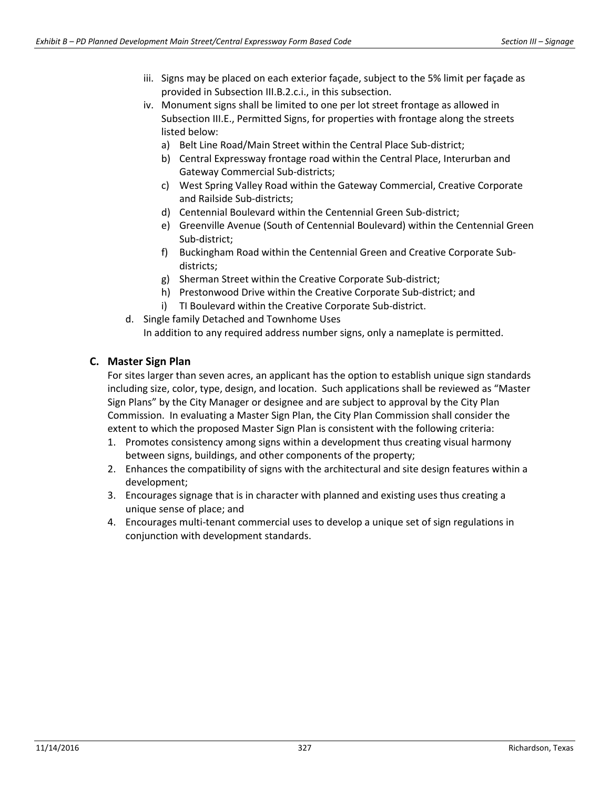- iii. Signs may be placed on each exterior façade, subject to the 5% limit per façade as provided in Subsection III.B.2.c.i., in this subsection.
- iv. Monument signs shall be limited to one per lot street frontage as allowed in Subsection III.E., Permitted Signs, for properties with frontage along the streets listed below:
	- a) Belt Line Road/Main Street within the Central Place Sub-district;
	- b) Central Expressway frontage road within the Central Place, Interurban and Gateway Commercial Sub-districts;
	- c) West Spring Valley Road within the Gateway Commercial, Creative Corporate and Railside Sub-districts;
	- d) Centennial Boulevard within the Centennial Green Sub-district;
	- e) Greenville Avenue (South of Centennial Boulevard) within the Centennial Green Sub-district;
	- f) Buckingham Road within the Centennial Green and Creative Corporate Subdistricts;
	- g) Sherman Street within the Creative Corporate Sub-district;
	- h) Prestonwood Drive within the Creative Corporate Sub-district; and
	- i) TI Boulevard within the Creative Corporate Sub-district.
- d. Single family Detached and Townhome Uses In addition to any required address number signs, only a nameplate is permitted.

### **C. Master Sign Plan**

For sites larger than seven acres, an applicant has the option to establish unique sign standards including size, color, type, design, and location. Such applications shall be reviewed as "Master Sign Plans" by the City Manager or designee and are subject to approval by the City Plan Commission. In evaluating a Master Sign Plan, the City Plan Commission shall consider the extent to which the proposed Master Sign Plan is consistent with the following criteria:

- 1. Promotes consistency among signs within a development thus creating visual harmony between signs, buildings, and other components of the property;
- 2. Enhances the compatibility of signs with the architectural and site design features within a development;
- 3. Encourages signage that is in character with planned and existing uses thus creating a unique sense of place; and
- 4. Encourages multi-tenant commercial uses to develop a unique set of sign regulations in conjunction with development standards.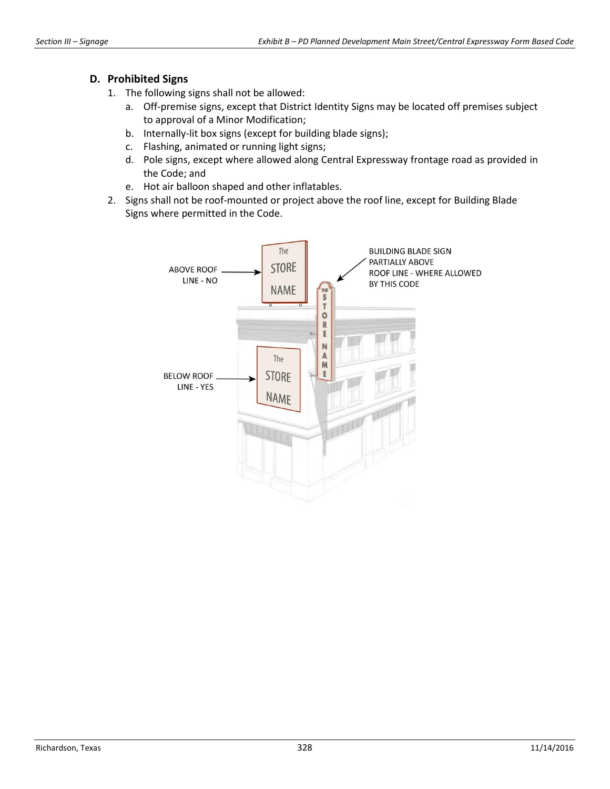#### **D. Prohibited Signs**

- 1. The following signs shall not be allowed:
	- a. Off-premise signs, except that District Identity Signs may be located off premises subject to approval of a Minor Modification;
	- b. Internally-lit box signs (except for building blade signs);
	- c. Flashing, animated or running light signs;
	- d. Pole signs, except where allowed along Central Expressway frontage road as provided in the Code; and
	- e. Hot air balloon shaped and other inflatables.
- 2. Signs shall not be roof-mounted or project above the roof line, except for Building Blade Signs where permitted in the Code.

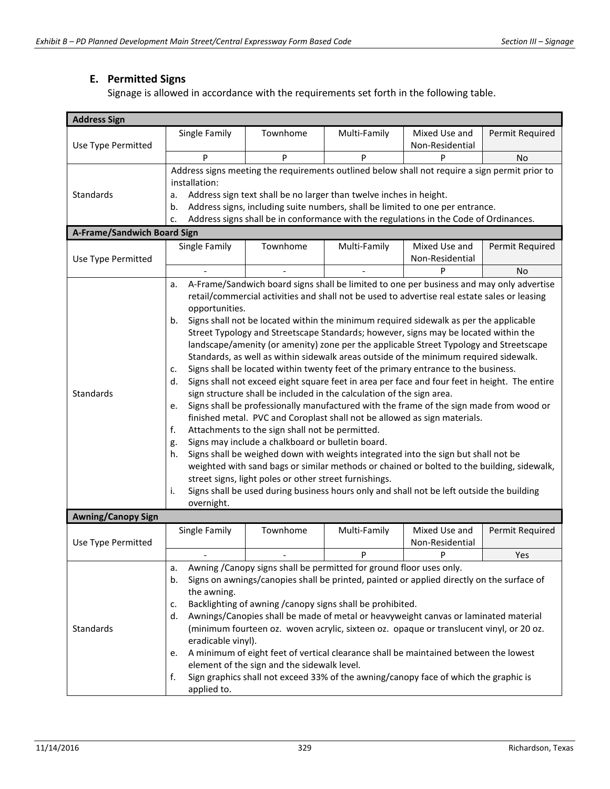# **E. Permitted Signs**

Signage is allowed in accordance with the requirements set forth in the following table.

| <b>Address Sign</b>         |                                                                                                                                                                                                                                                                                                                                                                                                                                                                                                                                                                                                                                                                                                                                                                                                                                                                                                                                                                                                                                                                                                                                                                                                                                                                                                                                                                                                                                                                                                                                |          |              |                                  |                 |  |  |
|-----------------------------|--------------------------------------------------------------------------------------------------------------------------------------------------------------------------------------------------------------------------------------------------------------------------------------------------------------------------------------------------------------------------------------------------------------------------------------------------------------------------------------------------------------------------------------------------------------------------------------------------------------------------------------------------------------------------------------------------------------------------------------------------------------------------------------------------------------------------------------------------------------------------------------------------------------------------------------------------------------------------------------------------------------------------------------------------------------------------------------------------------------------------------------------------------------------------------------------------------------------------------------------------------------------------------------------------------------------------------------------------------------------------------------------------------------------------------------------------------------------------------------------------------------------------------|----------|--------------|----------------------------------|-----------------|--|--|
| Use Type Permitted          | Single Family                                                                                                                                                                                                                                                                                                                                                                                                                                                                                                                                                                                                                                                                                                                                                                                                                                                                                                                                                                                                                                                                                                                                                                                                                                                                                                                                                                                                                                                                                                                  | Townhome | Multi-Family | Mixed Use and<br>Non-Residential | Permit Required |  |  |
|                             | P                                                                                                                                                                                                                                                                                                                                                                                                                                                                                                                                                                                                                                                                                                                                                                                                                                                                                                                                                                                                                                                                                                                                                                                                                                                                                                                                                                                                                                                                                                                              | P        | P            | P                                | No              |  |  |
| Standards                   | Address signs meeting the requirements outlined below shall not require a sign permit prior to<br>installation:<br>Address sign text shall be no larger than twelve inches in height.<br>a.<br>Address signs, including suite numbers, shall be limited to one per entrance.<br>b.<br>Address signs shall be in conformance with the regulations in the Code of Ordinances.<br>c.                                                                                                                                                                                                                                                                                                                                                                                                                                                                                                                                                                                                                                                                                                                                                                                                                                                                                                                                                                                                                                                                                                                                              |          |              |                                  |                 |  |  |
| A-Frame/Sandwich Board Sign |                                                                                                                                                                                                                                                                                                                                                                                                                                                                                                                                                                                                                                                                                                                                                                                                                                                                                                                                                                                                                                                                                                                                                                                                                                                                                                                                                                                                                                                                                                                                |          |              |                                  |                 |  |  |
|                             | Single Family                                                                                                                                                                                                                                                                                                                                                                                                                                                                                                                                                                                                                                                                                                                                                                                                                                                                                                                                                                                                                                                                                                                                                                                                                                                                                                                                                                                                                                                                                                                  | Townhome | Multi-Family | Mixed Use and                    | Permit Required |  |  |
| Use Type Permitted          |                                                                                                                                                                                                                                                                                                                                                                                                                                                                                                                                                                                                                                                                                                                                                                                                                                                                                                                                                                                                                                                                                                                                                                                                                                                                                                                                                                                                                                                                                                                                |          |              | Non-Residential                  |                 |  |  |
|                             |                                                                                                                                                                                                                                                                                                                                                                                                                                                                                                                                                                                                                                                                                                                                                                                                                                                                                                                                                                                                                                                                                                                                                                                                                                                                                                                                                                                                                                                                                                                                |          |              | P                                | No              |  |  |
| Standards                   | A-Frame/Sandwich board signs shall be limited to one per business and may only advertise<br>a.<br>retail/commercial activities and shall not be used to advertise real estate sales or leasing<br>opportunities.<br>Signs shall not be located within the minimum required sidewalk as per the applicable<br>b.<br>Street Typology and Streetscape Standards; however, signs may be located within the<br>landscape/amenity (or amenity) zone per the applicable Street Typology and Streetscape<br>Standards, as well as within sidewalk areas outside of the minimum required sidewalk.<br>Signs shall be located within twenty feet of the primary entrance to the business.<br>c.<br>Signs shall not exceed eight square feet in area per face and four feet in height. The entire<br>d.<br>sign structure shall be included in the calculation of the sign area.<br>Signs shall be professionally manufactured with the frame of the sign made from wood or<br>e.<br>finished metal. PVC and Coroplast shall not be allowed as sign materials.<br>f.<br>Attachments to the sign shall not be permitted.<br>Signs may include a chalkboard or bulletin board.<br>g.<br>Signs shall be weighed down with weights integrated into the sign but shall not be<br>h.<br>weighted with sand bags or similar methods or chained or bolted to the building, sidewalk,<br>street signs, light poles or other street furnishings.<br>i.<br>Signs shall be used during business hours only and shall not be left outside the building |          |              |                                  |                 |  |  |
| <b>Awning/Canopy Sign</b>   | overnight.                                                                                                                                                                                                                                                                                                                                                                                                                                                                                                                                                                                                                                                                                                                                                                                                                                                                                                                                                                                                                                                                                                                                                                                                                                                                                                                                                                                                                                                                                                                     |          |              |                                  |                 |  |  |
| Use Type Permitted          | Single Family                                                                                                                                                                                                                                                                                                                                                                                                                                                                                                                                                                                                                                                                                                                                                                                                                                                                                                                                                                                                                                                                                                                                                                                                                                                                                                                                                                                                                                                                                                                  | Townhome | Multi-Family | Mixed Use and<br>Non-Residential | Permit Required |  |  |
|                             |                                                                                                                                                                                                                                                                                                                                                                                                                                                                                                                                                                                                                                                                                                                                                                                                                                                                                                                                                                                                                                                                                                                                                                                                                                                                                                                                                                                                                                                                                                                                |          | P            | P                                | Yes             |  |  |
| Standards                   | Awning /Canopy signs shall be permitted for ground floor uses only.<br>a.<br>Signs on awnings/canopies shall be printed, painted or applied directly on the surface of<br>b.<br>the awning.<br>Backlighting of awning / canopy signs shall be prohibited.<br>c.<br>Awnings/Canopies shall be made of metal or heavyweight canvas or laminated material<br>d.<br>(minimum fourteen oz. woven acrylic, sixteen oz. opaque or translucent vinyl, or 20 oz.<br>eradicable vinyl).<br>A minimum of eight feet of vertical clearance shall be maintained between the lowest<br>e.<br>element of the sign and the sidewalk level.<br>Sign graphics shall not exceed 33% of the awning/canopy face of which the graphic is<br>f.<br>applied to.                                                                                                                                                                                                                                                                                                                                                                                                                                                                                                                                                                                                                                                                                                                                                                                        |          |              |                                  |                 |  |  |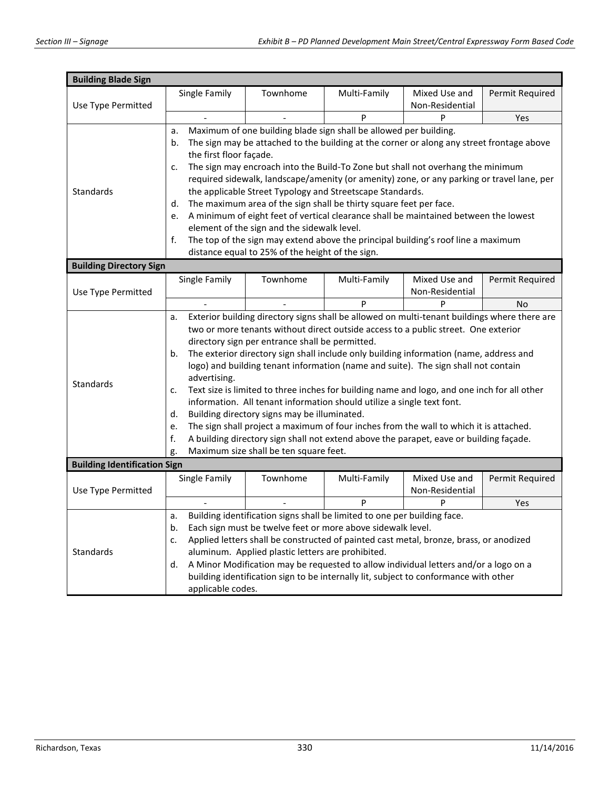| <b>Building Blade Sign</b>          |                                                                                                                                               |                                                                                                                                        |                                                   |                                                                                              |                                  |                 |  |  |
|-------------------------------------|-----------------------------------------------------------------------------------------------------------------------------------------------|----------------------------------------------------------------------------------------------------------------------------------------|---------------------------------------------------|----------------------------------------------------------------------------------------------|----------------------------------|-----------------|--|--|
|                                     |                                                                                                                                               | Single Family                                                                                                                          | Townhome                                          | Multi-Family                                                                                 | Mixed Use and                    | Permit Required |  |  |
| Use Type Permitted                  |                                                                                                                                               |                                                                                                                                        |                                                   |                                                                                              | Non-Residential                  |                 |  |  |
|                                     |                                                                                                                                               | $\overline{\phantom{a}}$                                                                                                               |                                                   | P                                                                                            | P                                | Yes             |  |  |
|                                     | a.                                                                                                                                            |                                                                                                                                        |                                                   | Maximum of one building blade sign shall be allowed per building.                            |                                  |                 |  |  |
|                                     | b.                                                                                                                                            |                                                                                                                                        |                                                   | The sign may be attached to the building at the corner or along any street frontage above    |                                  |                 |  |  |
|                                     |                                                                                                                                               | the first floor façade.                                                                                                                |                                                   |                                                                                              |                                  |                 |  |  |
|                                     | c.                                                                                                                                            | The sign may encroach into the Build-To Zone but shall not overhang the minimum                                                        |                                                   |                                                                                              |                                  |                 |  |  |
|                                     |                                                                                                                                               | required sidewalk, landscape/amenity (or amenity) zone, or any parking or travel lane, per                                             |                                                   |                                                                                              |                                  |                 |  |  |
| Standards                           |                                                                                                                                               | the applicable Street Typology and Streetscape Standards.                                                                              |                                                   |                                                                                              |                                  |                 |  |  |
|                                     | d.                                                                                                                                            |                                                                                                                                        |                                                   | The maximum area of the sign shall be thirty square feet per face.                           |                                  |                 |  |  |
|                                     | e.                                                                                                                                            |                                                                                                                                        |                                                   | A minimum of eight feet of vertical clearance shall be maintained between the lowest         |                                  |                 |  |  |
|                                     |                                                                                                                                               |                                                                                                                                        | element of the sign and the sidewalk level.       |                                                                                              |                                  |                 |  |  |
|                                     | f.                                                                                                                                            |                                                                                                                                        |                                                   | The top of the sign may extend above the principal building's roof line a maximum            |                                  |                 |  |  |
|                                     |                                                                                                                                               |                                                                                                                                        | distance equal to 25% of the height of the sign.  |                                                                                              |                                  |                 |  |  |
| <b>Building Directory Sign</b>      |                                                                                                                                               |                                                                                                                                        |                                                   |                                                                                              |                                  |                 |  |  |
|                                     |                                                                                                                                               | Single Family                                                                                                                          | Townhome                                          | Multi-Family                                                                                 | Mixed Use and                    | Permit Required |  |  |
| Use Type Permitted                  |                                                                                                                                               |                                                                                                                                        |                                                   |                                                                                              | Non-Residential                  |                 |  |  |
|                                     |                                                                                                                                               |                                                                                                                                        |                                                   | P                                                                                            | P                                | No              |  |  |
|                                     | a.                                                                                                                                            |                                                                                                                                        |                                                   | Exterior building directory signs shall be allowed on multi-tenant buildings where there are |                                  |                 |  |  |
|                                     |                                                                                                                                               | two or more tenants without direct outside access to a public street. One exterior                                                     |                                                   |                                                                                              |                                  |                 |  |  |
|                                     |                                                                                                                                               | directory sign per entrance shall be permitted.                                                                                        |                                                   |                                                                                              |                                  |                 |  |  |
|                                     | b.                                                                                                                                            | The exterior directory sign shall include only building information (name, address and                                                 |                                                   |                                                                                              |                                  |                 |  |  |
|                                     |                                                                                                                                               | logo) and building tenant information (name and suite). The sign shall not contain                                                     |                                                   |                                                                                              |                                  |                 |  |  |
| Standards                           |                                                                                                                                               | advertising.                                                                                                                           |                                                   |                                                                                              |                                  |                 |  |  |
|                                     | c.                                                                                                                                            | Text size is limited to three inches for building name and logo, and one inch for all other                                            |                                                   |                                                                                              |                                  |                 |  |  |
|                                     |                                                                                                                                               | information. All tenant information should utilize a single text font.                                                                 |                                                   |                                                                                              |                                  |                 |  |  |
|                                     |                                                                                                                                               | d.<br>Building directory signs may be illuminated.                                                                                     |                                                   |                                                                                              |                                  |                 |  |  |
|                                     |                                                                                                                                               | The sign shall project a maximum of four inches from the wall to which it is attached.<br>e.                                           |                                                   |                                                                                              |                                  |                 |  |  |
|                                     | g.                                                                                                                                            | f.<br>A building directory sign shall not extend above the parapet, eave or building façade.<br>Maximum size shall be ten square feet. |                                                   |                                                                                              |                                  |                 |  |  |
| <b>Building Identification Sign</b> |                                                                                                                                               |                                                                                                                                        |                                                   |                                                                                              |                                  |                 |  |  |
|                                     |                                                                                                                                               |                                                                                                                                        |                                                   |                                                                                              |                                  |                 |  |  |
|                                     |                                                                                                                                               | Single Family                                                                                                                          | Townhome                                          | Multi-Family                                                                                 | Mixed Use and<br>Non-Residential | Permit Required |  |  |
| Use Type Permitted                  |                                                                                                                                               |                                                                                                                                        |                                                   | P                                                                                            | P                                | Yes             |  |  |
|                                     | a.                                                                                                                                            |                                                                                                                                        |                                                   |                                                                                              |                                  |                 |  |  |
| <b>Standards</b>                    | Building identification signs shall be limited to one per building face.<br>Each sign must be twelve feet or more above sidewalk level.<br>b. |                                                                                                                                        |                                                   |                                                                                              |                                  |                 |  |  |
|                                     | Applied letters shall be constructed of painted cast metal, bronze, brass, or anodized<br>c.                                                  |                                                                                                                                        |                                                   |                                                                                              |                                  |                 |  |  |
|                                     |                                                                                                                                               |                                                                                                                                        | aluminum. Applied plastic letters are prohibited. |                                                                                              |                                  |                 |  |  |
|                                     | d.                                                                                                                                            |                                                                                                                                        |                                                   | A Minor Modification may be requested to allow individual letters and/or a logo on a         |                                  |                 |  |  |
|                                     | building identification sign to be internally lit, subject to conformance with other                                                          |                                                                                                                                        |                                                   |                                                                                              |                                  |                 |  |  |
|                                     | applicable codes.                                                                                                                             |                                                                                                                                        |                                                   |                                                                                              |                                  |                 |  |  |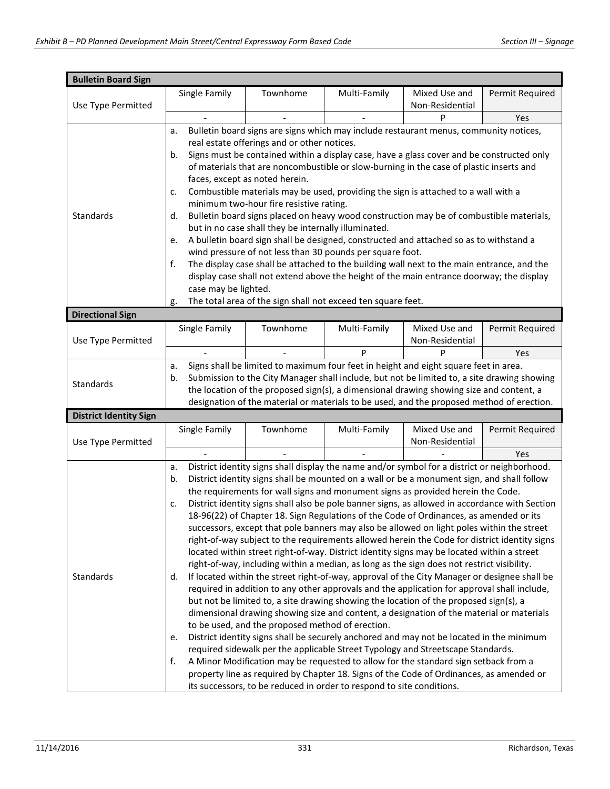| <b>Bulletin Board Sign</b>    |                                                                                                                                                                                           |                                                      |                                                                                                |                 |                 |  |
|-------------------------------|-------------------------------------------------------------------------------------------------------------------------------------------------------------------------------------------|------------------------------------------------------|------------------------------------------------------------------------------------------------|-----------------|-----------------|--|
|                               | Single Family                                                                                                                                                                             | Townhome                                             | Multi-Family                                                                                   | Mixed Use and   | Permit Required |  |
| Use Type Permitted            |                                                                                                                                                                                           |                                                      |                                                                                                | Non-Residential |                 |  |
|                               |                                                                                                                                                                                           |                                                      |                                                                                                | P               | Yes             |  |
|                               | a.                                                                                                                                                                                        |                                                      | Bulletin board signs are signs which may include restaurant menus, community notices,          |                 |                 |  |
|                               |                                                                                                                                                                                           | real estate offerings and or other notices.          |                                                                                                |                 |                 |  |
|                               | b.                                                                                                                                                                                        |                                                      | Signs must be contained within a display case, have a glass cover and be constructed only      |                 |                 |  |
|                               |                                                                                                                                                                                           |                                                      | of materials that are noncombustible or slow-burning in the case of plastic inserts and        |                 |                 |  |
|                               |                                                                                                                                                                                           | faces, except as noted herein.                       |                                                                                                |                 |                 |  |
|                               | c.                                                                                                                                                                                        |                                                      | Combustible materials may be used, providing the sign is attached to a wall with a             |                 |                 |  |
|                               |                                                                                                                                                                                           | minimum two-hour fire resistive rating.              |                                                                                                |                 |                 |  |
| Standards                     | d.                                                                                                                                                                                        |                                                      | Bulletin board signs placed on heavy wood construction may be of combustible materials,        |                 |                 |  |
|                               |                                                                                                                                                                                           | but in no case shall they be internally illuminated. |                                                                                                |                 |                 |  |
|                               | e.                                                                                                                                                                                        |                                                      | A bulletin board sign shall be designed, constructed and attached so as to withstand a         |                 |                 |  |
|                               |                                                                                                                                                                                           |                                                      | wind pressure of not less than 30 pounds per square foot.                                      |                 |                 |  |
|                               | f.                                                                                                                                                                                        |                                                      | The display case shall be attached to the building wall next to the main entrance, and the     |                 |                 |  |
|                               |                                                                                                                                                                                           |                                                      | display case shall not extend above the height of the main entrance doorway; the display       |                 |                 |  |
|                               | case may be lighted.                                                                                                                                                                      |                                                      |                                                                                                |                 |                 |  |
| <b>Directional Sign</b>       | g.                                                                                                                                                                                        |                                                      | The total area of the sign shall not exceed ten square feet.                                   |                 |                 |  |
|                               | Single Family                                                                                                                                                                             | Townhome                                             | Multi-Family                                                                                   | Mixed Use and   | Permit Required |  |
| Use Type Permitted            |                                                                                                                                                                                           |                                                      |                                                                                                | Non-Residential |                 |  |
|                               |                                                                                                                                                                                           |                                                      | P                                                                                              |                 | Yes             |  |
|                               | a.                                                                                                                                                                                        |                                                      |                                                                                                |                 |                 |  |
|                               | Signs shall be limited to maximum four feet in height and eight square feet in area.<br>Submission to the City Manager shall include, but not be limited to, a site drawing showing<br>b. |                                                      |                                                                                                |                 |                 |  |
| Standards                     | the location of the proposed sign(s), a dimensional drawing showing size and content, a                                                                                                   |                                                      |                                                                                                |                 |                 |  |
|                               | designation of the material or materials to be used, and the proposed method of erection.                                                                                                 |                                                      |                                                                                                |                 |                 |  |
| <b>District Identity Sign</b> |                                                                                                                                                                                           |                                                      |                                                                                                |                 |                 |  |
|                               | Single Family                                                                                                                                                                             | Townhome                                             | Multi-Family                                                                                   | Mixed Use and   | Permit Required |  |
| Use Type Permitted            |                                                                                                                                                                                           |                                                      |                                                                                                | Non-Residential |                 |  |
|                               |                                                                                                                                                                                           |                                                      |                                                                                                |                 | Yes             |  |
|                               | District identity signs shall display the name and/or symbol for a district or neighborhood.<br>a.                                                                                        |                                                      |                                                                                                |                 |                 |  |
|                               | b.                                                                                                                                                                                        |                                                      | District identity signs shall be mounted on a wall or be a monument sign, and shall follow     |                 |                 |  |
|                               |                                                                                                                                                                                           |                                                      | the requirements for wall signs and monument signs as provided herein the Code.                |                 |                 |  |
|                               | c.                                                                                                                                                                                        |                                                      | District identity signs shall also be pole banner signs, as allowed in accordance with Section |                 |                 |  |
|                               | 18-96(22) of Chapter 18. Sign Regulations of the Code of Ordinances, as amended or its                                                                                                    |                                                      |                                                                                                |                 |                 |  |
|                               | successors, except that pole banners may also be allowed on light poles within the street                                                                                                 |                                                      |                                                                                                |                 |                 |  |
|                               | right-of-way subject to the requirements allowed herein the Code for district identity signs                                                                                              |                                                      |                                                                                                |                 |                 |  |
|                               |                                                                                                                                                                                           |                                                      | located within street right-of-way. District identity signs may be located within a street     |                 |                 |  |
|                               | right-of-way, including within a median, as long as the sign does not restrict visibility.                                                                                                |                                                      |                                                                                                |                 |                 |  |
| Standards                     | If located within the street right-of-way, approval of the City Manager or designee shall be<br>d.                                                                                        |                                                      |                                                                                                |                 |                 |  |
|                               | required in addition to any other approvals and the application for approval shall include,                                                                                               |                                                      |                                                                                                |                 |                 |  |
|                               | but not be limited to, a site drawing showing the location of the proposed sign(s), a                                                                                                     |                                                      |                                                                                                |                 |                 |  |
|                               | dimensional drawing showing size and content, a designation of the material or materials<br>to be used, and the proposed method of erection.                                              |                                                      |                                                                                                |                 |                 |  |
|                               |                                                                                                                                                                                           |                                                      | District identity signs shall be securely anchored and may not be located in the minimum       |                 |                 |  |
|                               | e.                                                                                                                                                                                        |                                                      | required sidewalk per the applicable Street Typology and Streetscape Standards.                |                 |                 |  |
|                               | f.                                                                                                                                                                                        |                                                      |                                                                                                |                 |                 |  |
|                               | A Minor Modification may be requested to allow for the standard sign setback from a<br>property line as required by Chapter 18. Signs of the Code of Ordinances, as amended or            |                                                      |                                                                                                |                 |                 |  |
|                               |                                                                                                                                                                                           |                                                      | its successors, to be reduced in order to respond to site conditions.                          |                 |                 |  |
|                               |                                                                                                                                                                                           |                                                      |                                                                                                |                 |                 |  |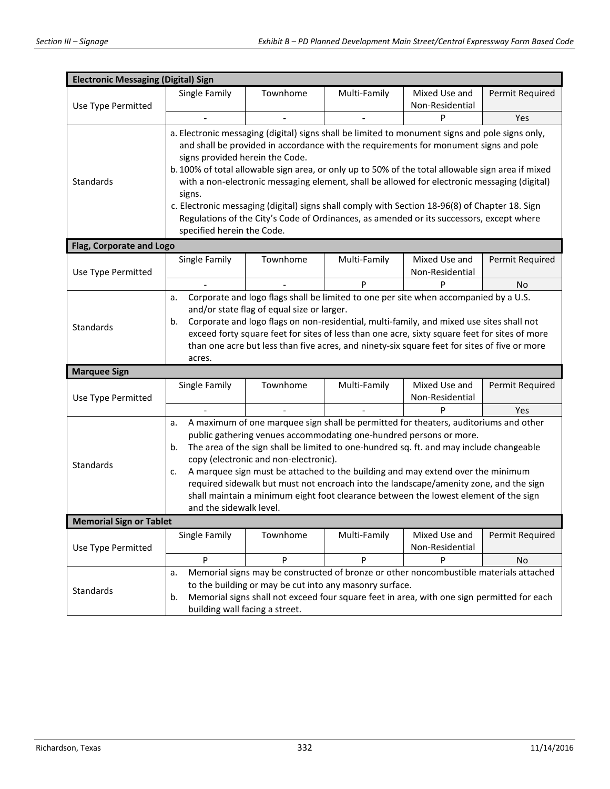| <b>Electronic Messaging (Digital) Sign</b>                |                                                                                                                                                   |          |                                                                    |                                                                                                                                                                                            |                 |  |  |
|-----------------------------------------------------------|---------------------------------------------------------------------------------------------------------------------------------------------------|----------|--------------------------------------------------------------------|--------------------------------------------------------------------------------------------------------------------------------------------------------------------------------------------|-----------------|--|--|
|                                                           | Single Family                                                                                                                                     | Townhome | Multi-Family                                                       | Mixed Use and                                                                                                                                                                              | Permit Required |  |  |
| Use Type Permitted                                        |                                                                                                                                                   |          |                                                                    | Non-Residential                                                                                                                                                                            |                 |  |  |
|                                                           |                                                                                                                                                   |          |                                                                    | P                                                                                                                                                                                          | Yes             |  |  |
|                                                           |                                                                                                                                                   |          |                                                                    | a. Electronic messaging (digital) signs shall be limited to monument signs and pole signs only,                                                                                            |                 |  |  |
|                                                           |                                                                                                                                                   |          |                                                                    | and shall be provided in accordance with the requirements for monument signs and pole                                                                                                      |                 |  |  |
|                                                           | signs provided herein the Code.                                                                                                                   |          |                                                                    |                                                                                                                                                                                            |                 |  |  |
|                                                           |                                                                                                                                                   |          |                                                                    | b. 100% of total allowable sign area, or only up to 50% of the total allowable sign area if mixed                                                                                          |                 |  |  |
| <b>Standards</b>                                          |                                                                                                                                                   |          |                                                                    | with a non-electronic messaging element, shall be allowed for electronic messaging (digital)                                                                                               |                 |  |  |
|                                                           | signs.                                                                                                                                            |          |                                                                    |                                                                                                                                                                                            |                 |  |  |
|                                                           |                                                                                                                                                   |          |                                                                    | c. Electronic messaging (digital) signs shall comply with Section 18-96(8) of Chapter 18. Sign<br>Regulations of the City's Code of Ordinances, as amended or its successors, except where |                 |  |  |
|                                                           | specified herein the Code.                                                                                                                        |          |                                                                    |                                                                                                                                                                                            |                 |  |  |
| Flag, Corporate and Logo                                  |                                                                                                                                                   |          |                                                                    |                                                                                                                                                                                            |                 |  |  |
|                                                           | Single Family                                                                                                                                     | Townhome |                                                                    | Mixed Use and                                                                                                                                                                              |                 |  |  |
| Use Type Permitted                                        |                                                                                                                                                   |          | Multi-Family                                                       | Non-Residential                                                                                                                                                                            | Permit Required |  |  |
|                                                           |                                                                                                                                                   |          | P                                                                  | P                                                                                                                                                                                          | No              |  |  |
|                                                           | a.                                                                                                                                                |          |                                                                    |                                                                                                                                                                                            |                 |  |  |
|                                                           | Corporate and logo flags shall be limited to one per site when accompanied by a U.S.<br>and/or state flag of equal size or larger.                |          |                                                                    |                                                                                                                                                                                            |                 |  |  |
|                                                           | Corporate and logo flags on non-residential, multi-family, and mixed use sites shall not<br>b.                                                    |          |                                                                    |                                                                                                                                                                                            |                 |  |  |
| <b>Standards</b>                                          | exceed forty square feet for sites of less than one acre, sixty square feet for sites of more                                                     |          |                                                                    |                                                                                                                                                                                            |                 |  |  |
|                                                           | than one acre but less than five acres, and ninety-six square feet for sites of five or more                                                      |          |                                                                    |                                                                                                                                                                                            |                 |  |  |
|                                                           | acres.                                                                                                                                            |          |                                                                    |                                                                                                                                                                                            |                 |  |  |
| <b>Marquee Sign</b>                                       |                                                                                                                                                   |          |                                                                    |                                                                                                                                                                                            |                 |  |  |
|                                                           | Single Family                                                                                                                                     | Townhome | Multi-Family                                                       | Mixed Use and                                                                                                                                                                              | Permit Required |  |  |
| Use Type Permitted                                        |                                                                                                                                                   |          |                                                                    | Non-Residential                                                                                                                                                                            |                 |  |  |
|                                                           |                                                                                                                                                   |          |                                                                    | P                                                                                                                                                                                          | Yes             |  |  |
|                                                           | A maximum of one marquee sign shall be permitted for theaters, auditoriums and other<br>a.                                                        |          |                                                                    |                                                                                                                                                                                            |                 |  |  |
|                                                           |                                                                                                                                                   |          | public gathering venues accommodating one-hundred persons or more. |                                                                                                                                                                                            |                 |  |  |
|                                                           | The area of the sign shall be limited to one-hundred sq. ft. and may include changeable<br>b.                                                     |          |                                                                    |                                                                                                                                                                                            |                 |  |  |
| Standards                                                 | copy (electronic and non-electronic).                                                                                                             |          |                                                                    |                                                                                                                                                                                            |                 |  |  |
|                                                           | A marquee sign must be attached to the building and may extend over the minimum<br>c.                                                             |          |                                                                    |                                                                                                                                                                                            |                 |  |  |
|                                                           | required sidewalk but must not encroach into the landscape/amenity zone, and the sign                                                             |          |                                                                    |                                                                                                                                                                                            |                 |  |  |
|                                                           | shall maintain a minimum eight foot clearance between the lowest element of the sign                                                              |          |                                                                    |                                                                                                                                                                                            |                 |  |  |
| and the sidewalk level.<br><b>Memorial Sign or Tablet</b> |                                                                                                                                                   |          |                                                                    |                                                                                                                                                                                            |                 |  |  |
|                                                           | Single Family                                                                                                                                     | Townhome | Multi-Family                                                       | Mixed Use and                                                                                                                                                                              | Permit Required |  |  |
| Use Type Permitted                                        |                                                                                                                                                   |          |                                                                    | Non-Residential                                                                                                                                                                            |                 |  |  |
|                                                           | P                                                                                                                                                 | P        | P                                                                  | P                                                                                                                                                                                          | No              |  |  |
|                                                           | a.                                                                                                                                                |          |                                                                    |                                                                                                                                                                                            |                 |  |  |
|                                                           | Memorial signs may be constructed of bronze or other noncombustible materials attached<br>to the building or may be cut into any masonry surface. |          |                                                                    |                                                                                                                                                                                            |                 |  |  |
| Standards                                                 | Memorial signs shall not exceed four square feet in area, with one sign permitted for each<br>b.                                                  |          |                                                                    |                                                                                                                                                                                            |                 |  |  |
|                                                           | building wall facing a street.                                                                                                                    |          |                                                                    |                                                                                                                                                                                            |                 |  |  |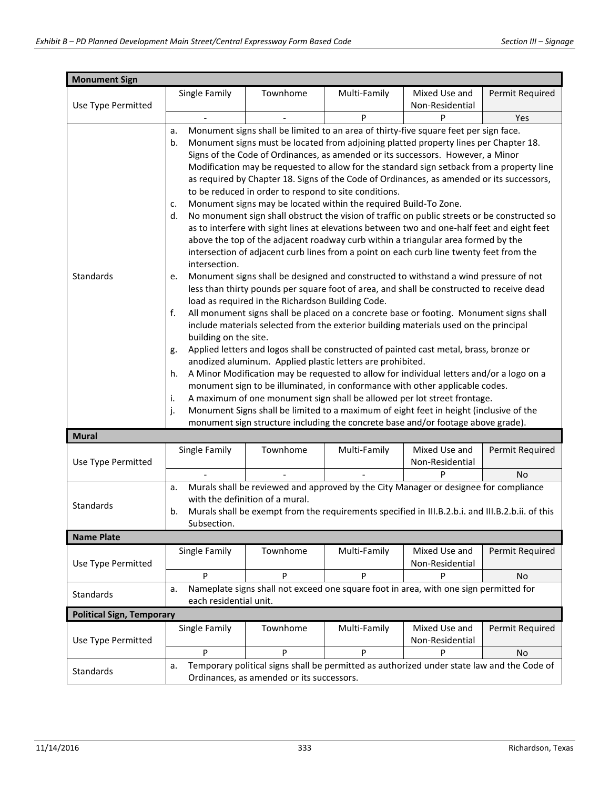| <b>Monument Sign</b>             |                                                                                                                                                                                                                                                                                                                                                                                                                                                                                                                                                                                                                                                                                                                                                                                                                                                                                                                                                                                                                                                                                                                                                                                                                                                                                                                                                                                                                                                                                                                                                                                                                                                                                                                                                                                                                                                                                                                                                                                                                                                                                                               |          |              |                                  |                 |  |  |
|----------------------------------|---------------------------------------------------------------------------------------------------------------------------------------------------------------------------------------------------------------------------------------------------------------------------------------------------------------------------------------------------------------------------------------------------------------------------------------------------------------------------------------------------------------------------------------------------------------------------------------------------------------------------------------------------------------------------------------------------------------------------------------------------------------------------------------------------------------------------------------------------------------------------------------------------------------------------------------------------------------------------------------------------------------------------------------------------------------------------------------------------------------------------------------------------------------------------------------------------------------------------------------------------------------------------------------------------------------------------------------------------------------------------------------------------------------------------------------------------------------------------------------------------------------------------------------------------------------------------------------------------------------------------------------------------------------------------------------------------------------------------------------------------------------------------------------------------------------------------------------------------------------------------------------------------------------------------------------------------------------------------------------------------------------------------------------------------------------------------------------------------------------|----------|--------------|----------------------------------|-----------------|--|--|
| Use Type Permitted               | Single Family                                                                                                                                                                                                                                                                                                                                                                                                                                                                                                                                                                                                                                                                                                                                                                                                                                                                                                                                                                                                                                                                                                                                                                                                                                                                                                                                                                                                                                                                                                                                                                                                                                                                                                                                                                                                                                                                                                                                                                                                                                                                                                 | Townhome | Multi-Family | Mixed Use and<br>Non-Residential | Permit Required |  |  |
|                                  |                                                                                                                                                                                                                                                                                                                                                                                                                                                                                                                                                                                                                                                                                                                                                                                                                                                                                                                                                                                                                                                                                                                                                                                                                                                                                                                                                                                                                                                                                                                                                                                                                                                                                                                                                                                                                                                                                                                                                                                                                                                                                                               |          | P            | P                                |                 |  |  |
| Standards                        | Yes<br>Monument signs shall be limited to an area of thirty-five square feet per sign face.<br>a.<br>Monument signs must be located from adjoining platted property lines per Chapter 18.<br>b.<br>Signs of the Code of Ordinances, as amended or its successors. However, a Minor<br>Modification may be requested to allow for the standard sign setback from a property line<br>as required by Chapter 18. Signs of the Code of Ordinances, as amended or its successors,<br>to be reduced in order to respond to site conditions.<br>Monument signs may be located within the required Build-To Zone.<br>c.<br>No monument sign shall obstruct the vision of traffic on public streets or be constructed so<br>d.<br>as to interfere with sight lines at elevations between two and one-half feet and eight feet<br>above the top of the adjacent roadway curb within a triangular area formed by the<br>intersection of adjacent curb lines from a point on each curb line twenty feet from the<br>intersection.<br>Monument signs shall be designed and constructed to withstand a wind pressure of not<br>e.<br>less than thirty pounds per square foot of area, and shall be constructed to receive dead<br>load as required in the Richardson Building Code.<br>All monument signs shall be placed on a concrete base or footing. Monument signs shall<br>f.<br>include materials selected from the exterior building materials used on the principal<br>building on the site.<br>Applied letters and logos shall be constructed of painted cast metal, brass, bronze or<br>g.<br>anodized aluminum. Applied plastic letters are prohibited.<br>A Minor Modification may be requested to allow for individual letters and/or a logo on a<br>h.<br>monument sign to be illuminated, in conformance with other applicable codes.<br>A maximum of one monument sign shall be allowed per lot street frontage.<br>i.<br>j.<br>Monument Signs shall be limited to a maximum of eight feet in height (inclusive of the<br>monument sign structure including the concrete base and/or footage above grade). |          |              |                                  |                 |  |  |
| <b>Mural</b>                     |                                                                                                                                                                                                                                                                                                                                                                                                                                                                                                                                                                                                                                                                                                                                                                                                                                                                                                                                                                                                                                                                                                                                                                                                                                                                                                                                                                                                                                                                                                                                                                                                                                                                                                                                                                                                                                                                                                                                                                                                                                                                                                               |          |              |                                  |                 |  |  |
| Use Type Permitted               | Single Family                                                                                                                                                                                                                                                                                                                                                                                                                                                                                                                                                                                                                                                                                                                                                                                                                                                                                                                                                                                                                                                                                                                                                                                                                                                                                                                                                                                                                                                                                                                                                                                                                                                                                                                                                                                                                                                                                                                                                                                                                                                                                                 | Townhome | Multi-Family | Mixed Use and<br>Non-Residential | Permit Required |  |  |
|                                  |                                                                                                                                                                                                                                                                                                                                                                                                                                                                                                                                                                                                                                                                                                                                                                                                                                                                                                                                                                                                                                                                                                                                                                                                                                                                                                                                                                                                                                                                                                                                                                                                                                                                                                                                                                                                                                                                                                                                                                                                                                                                                                               |          |              | P                                | No              |  |  |
| Standards                        | Murals shall be reviewed and approved by the City Manager or designee for compliance<br>a.<br>with the definition of a mural.<br>Murals shall be exempt from the requirements specified in III.B.2.b.i. and III.B.2.b.ii. of this<br>b.<br>Subsection.                                                                                                                                                                                                                                                                                                                                                                                                                                                                                                                                                                                                                                                                                                                                                                                                                                                                                                                                                                                                                                                                                                                                                                                                                                                                                                                                                                                                                                                                                                                                                                                                                                                                                                                                                                                                                                                        |          |              |                                  |                 |  |  |
| <b>Name Plate</b>                |                                                                                                                                                                                                                                                                                                                                                                                                                                                                                                                                                                                                                                                                                                                                                                                                                                                                                                                                                                                                                                                                                                                                                                                                                                                                                                                                                                                                                                                                                                                                                                                                                                                                                                                                                                                                                                                                                                                                                                                                                                                                                                               |          |              |                                  |                 |  |  |
| Use Type Permitted               | Single Family                                                                                                                                                                                                                                                                                                                                                                                                                                                                                                                                                                                                                                                                                                                                                                                                                                                                                                                                                                                                                                                                                                                                                                                                                                                                                                                                                                                                                                                                                                                                                                                                                                                                                                                                                                                                                                                                                                                                                                                                                                                                                                 | Townhome | Multi-Family | Mixed Use and<br>Non-Residential | Permit Required |  |  |
|                                  | P                                                                                                                                                                                                                                                                                                                                                                                                                                                                                                                                                                                                                                                                                                                                                                                                                                                                                                                                                                                                                                                                                                                                                                                                                                                                                                                                                                                                                                                                                                                                                                                                                                                                                                                                                                                                                                                                                                                                                                                                                                                                                                             | P        | P            | P                                | No              |  |  |
| Standards                        | Nameplate signs shall not exceed one square foot in area, with one sign permitted for<br>a.<br>each residential unit.                                                                                                                                                                                                                                                                                                                                                                                                                                                                                                                                                                                                                                                                                                                                                                                                                                                                                                                                                                                                                                                                                                                                                                                                                                                                                                                                                                                                                                                                                                                                                                                                                                                                                                                                                                                                                                                                                                                                                                                         |          |              |                                  |                 |  |  |
| <b>Political Sign, Temporary</b> |                                                                                                                                                                                                                                                                                                                                                                                                                                                                                                                                                                                                                                                                                                                                                                                                                                                                                                                                                                                                                                                                                                                                                                                                                                                                                                                                                                                                                                                                                                                                                                                                                                                                                                                                                                                                                                                                                                                                                                                                                                                                                                               |          |              |                                  |                 |  |  |
| Use Type Permitted               | Single Family                                                                                                                                                                                                                                                                                                                                                                                                                                                                                                                                                                                                                                                                                                                                                                                                                                                                                                                                                                                                                                                                                                                                                                                                                                                                                                                                                                                                                                                                                                                                                                                                                                                                                                                                                                                                                                                                                                                                                                                                                                                                                                 | Townhome | Multi-Family | Mixed Use and<br>Non-Residential | Permit Required |  |  |
|                                  | P                                                                                                                                                                                                                                                                                                                                                                                                                                                                                                                                                                                                                                                                                                                                                                                                                                                                                                                                                                                                                                                                                                                                                                                                                                                                                                                                                                                                                                                                                                                                                                                                                                                                                                                                                                                                                                                                                                                                                                                                                                                                                                             | P        | P            | P                                | No              |  |  |
| Standards                        | Temporary political signs shall be permitted as authorized under state law and the Code of<br>a.<br>Ordinances, as amended or its successors.                                                                                                                                                                                                                                                                                                                                                                                                                                                                                                                                                                                                                                                                                                                                                                                                                                                                                                                                                                                                                                                                                                                                                                                                                                                                                                                                                                                                                                                                                                                                                                                                                                                                                                                                                                                                                                                                                                                                                                 |          |              |                                  |                 |  |  |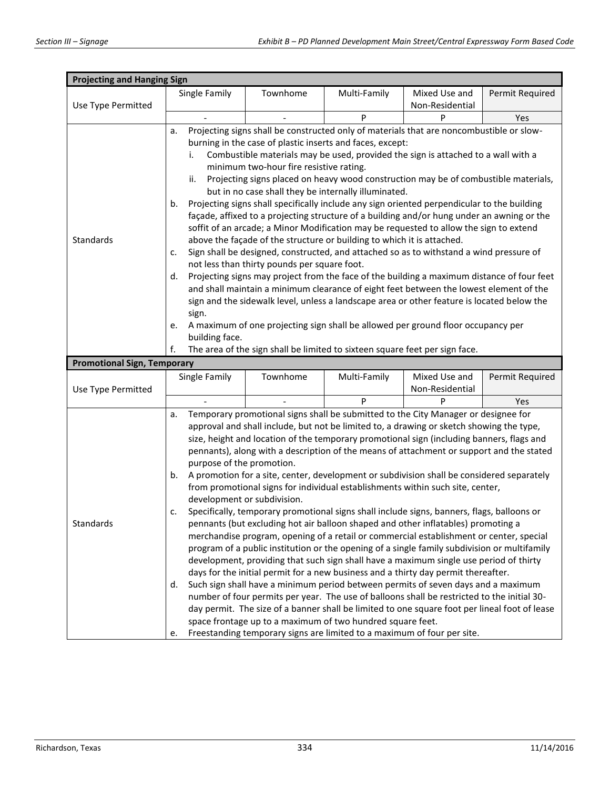| <b>Projecting and Hanging Sign</b> |                                                                                                                                                                                   |                                              |                                                                                                                                                                   |                 |                 |  |  |
|------------------------------------|-----------------------------------------------------------------------------------------------------------------------------------------------------------------------------------|----------------------------------------------|-------------------------------------------------------------------------------------------------------------------------------------------------------------------|-----------------|-----------------|--|--|
|                                    | Single Family                                                                                                                                                                     | Townhome                                     | Multi-Family                                                                                                                                                      | Mixed Use and   | Permit Required |  |  |
| Use Type Permitted                 |                                                                                                                                                                                   |                                              |                                                                                                                                                                   | Non-Residential |                 |  |  |
|                                    |                                                                                                                                                                                   |                                              | P                                                                                                                                                                 | P               | Yes             |  |  |
|                                    | a.                                                                                                                                                                                |                                              | Projecting signs shall be constructed only of materials that are noncombustible or slow-<br>burning in the case of plastic inserts and faces, except:             |                 |                 |  |  |
|                                    | i.                                                                                                                                                                                |                                              | Combustible materials may be used, provided the sign is attached to a wall with a                                                                                 |                 |                 |  |  |
|                                    |                                                                                                                                                                                   | minimum two-hour fire resistive rating.      |                                                                                                                                                                   |                 |                 |  |  |
|                                    | ii.                                                                                                                                                                               |                                              | Projecting signs placed on heavy wood construction may be of combustible materials,                                                                               |                 |                 |  |  |
|                                    |                                                                                                                                                                                   |                                              | but in no case shall they be internally illuminated.                                                                                                              |                 |                 |  |  |
|                                    | b.                                                                                                                                                                                |                                              | Projecting signs shall specifically include any sign oriented perpendicular to the building                                                                       |                 |                 |  |  |
|                                    |                                                                                                                                                                                   |                                              | façade, affixed to a projecting structure of a building and/or hung under an awning or the                                                                        |                 |                 |  |  |
| Standards                          |                                                                                                                                                                                   |                                              | soffit of an arcade; a Minor Modification may be requested to allow the sign to extend                                                                            |                 |                 |  |  |
|                                    | c.                                                                                                                                                                                |                                              | above the façade of the structure or building to which it is attached.<br>Sign shall be designed, constructed, and attached so as to withstand a wind pressure of |                 |                 |  |  |
|                                    |                                                                                                                                                                                   | not less than thirty pounds per square foot. |                                                                                                                                                                   |                 |                 |  |  |
|                                    | d.                                                                                                                                                                                |                                              | Projecting signs may project from the face of the building a maximum distance of four feet                                                                        |                 |                 |  |  |
|                                    |                                                                                                                                                                                   |                                              | and shall maintain a minimum clearance of eight feet between the lowest element of the                                                                            |                 |                 |  |  |
|                                    | sign and the sidewalk level, unless a landscape area or other feature is located below the                                                                                        |                                              |                                                                                                                                                                   |                 |                 |  |  |
|                                    | sign.                                                                                                                                                                             |                                              |                                                                                                                                                                   |                 |                 |  |  |
|                                    | e.                                                                                                                                                                                |                                              | A maximum of one projecting sign shall be allowed per ground floor occupancy per                                                                                  |                 |                 |  |  |
|                                    | building face.<br>f.                                                                                                                                                              |                                              | The area of the sign shall be limited to sixteen square feet per sign face.                                                                                       |                 |                 |  |  |
| <b>Promotional Sign, Temporary</b> |                                                                                                                                                                                   |                                              |                                                                                                                                                                   |                 |                 |  |  |
|                                    | Single Family                                                                                                                                                                     | Townhome                                     | Multi-Family                                                                                                                                                      | Mixed Use and   | Permit Required |  |  |
| Use Type Permitted                 |                                                                                                                                                                                   |                                              |                                                                                                                                                                   | Non-Residential |                 |  |  |
|                                    |                                                                                                                                                                                   |                                              | P                                                                                                                                                                 | P               | Yes             |  |  |
|                                    | Temporary promotional signs shall be submitted to the City Manager or designee for<br>a.                                                                                          |                                              |                                                                                                                                                                   |                 |                 |  |  |
|                                    |                                                                                                                                                                                   |                                              | approval and shall include, but not be limited to, a drawing or sketch showing the type,                                                                          |                 |                 |  |  |
|                                    |                                                                                                                                                                                   |                                              | size, height and location of the temporary promotional sign (including banners, flags and                                                                         |                 |                 |  |  |
|                                    |                                                                                                                                                                                   |                                              | pennants), along with a description of the means of attachment or support and the stated                                                                          |                 |                 |  |  |
|                                    | purpose of the promotion.                                                                                                                                                         |                                              |                                                                                                                                                                   |                 |                 |  |  |
|                                    | A promotion for a site, center, development or subdivision shall be considered separately<br>b.<br>from promotional signs for individual establishments within such site, center, |                                              |                                                                                                                                                                   |                 |                 |  |  |
|                                    | development or subdivision.                                                                                                                                                       |                                              |                                                                                                                                                                   |                 |                 |  |  |
|                                    | Specifically, temporary promotional signs shall include signs, banners, flags, balloons or<br>c.                                                                                  |                                              |                                                                                                                                                                   |                 |                 |  |  |
| Standards                          |                                                                                                                                                                                   |                                              | pennants (but excluding hot air balloon shaped and other inflatables) promoting a                                                                                 |                 |                 |  |  |
|                                    |                                                                                                                                                                                   |                                              | merchandise program, opening of a retail or commercial establishment or center, special                                                                           |                 |                 |  |  |
|                                    | program of a public institution or the opening of a single family subdivision or multifamily                                                                                      |                                              |                                                                                                                                                                   |                 |                 |  |  |
|                                    | development, providing that such sign shall have a maximum single use period of thirty<br>days for the initial permit for a new business and a thirty day permit thereafter.      |                                              |                                                                                                                                                                   |                 |                 |  |  |
|                                    | d.                                                                                                                                                                                |                                              | Such sign shall have a minimum period between permits of seven days and a maximum                                                                                 |                 |                 |  |  |
|                                    |                                                                                                                                                                                   |                                              | number of four permits per year. The use of balloons shall be restricted to the initial 30-                                                                       |                 |                 |  |  |
|                                    |                                                                                                                                                                                   |                                              |                                                                                                                                                                   |                 |                 |  |  |
|                                    | day permit. The size of a banner shall be limited to one square foot per lineal foot of lease<br>space frontage up to a maximum of two hundred square feet.                       |                                              |                                                                                                                                                                   |                 |                 |  |  |
|                                    | Freestanding temporary signs are limited to a maximum of four per site.<br>e.                                                                                                     |                                              |                                                                                                                                                                   |                 |                 |  |  |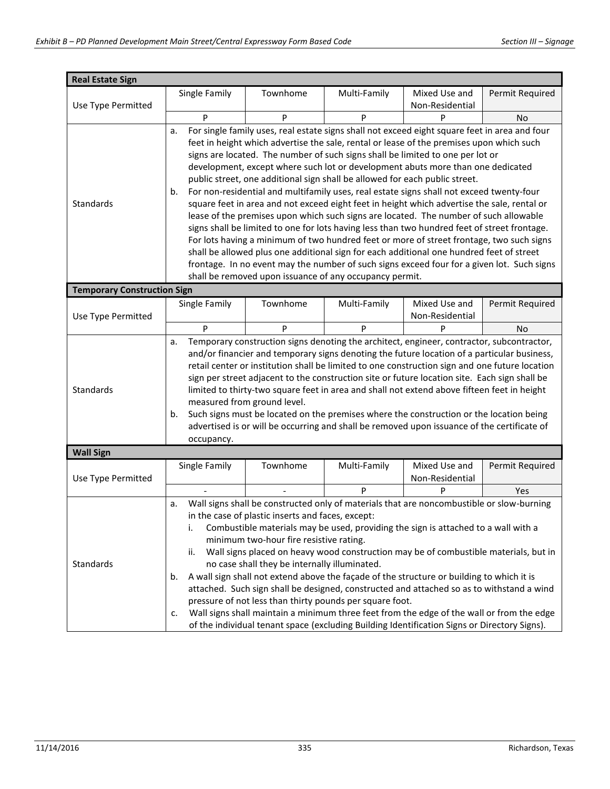| <b>Real Estate Sign</b>            |                                                                                                                                                       |                                               |                                                                             |                                                                                               |                 |  |  |
|------------------------------------|-------------------------------------------------------------------------------------------------------------------------------------------------------|-----------------------------------------------|-----------------------------------------------------------------------------|-----------------------------------------------------------------------------------------------|-----------------|--|--|
|                                    | Single Family                                                                                                                                         | Townhome                                      | Multi-Family                                                                | Mixed Use and                                                                                 | Permit Required |  |  |
| Use Type Permitted                 |                                                                                                                                                       |                                               |                                                                             | Non-Residential                                                                               |                 |  |  |
|                                    | P                                                                                                                                                     | P                                             | P                                                                           | P                                                                                             | No              |  |  |
|                                    | a.                                                                                                                                                    |                                               |                                                                             | For single family uses, real estate signs shall not exceed eight square feet in area and four |                 |  |  |
|                                    |                                                                                                                                                       |                                               |                                                                             | feet in height which advertise the sale, rental or lease of the premises upon which such      |                 |  |  |
|                                    |                                                                                                                                                       |                                               |                                                                             | signs are located. The number of such signs shall be limited to one per lot or                |                 |  |  |
|                                    |                                                                                                                                                       |                                               |                                                                             | development, except where such lot or development abuts more than one dedicated               |                 |  |  |
|                                    |                                                                                                                                                       |                                               | public street, one additional sign shall be allowed for each public street. |                                                                                               |                 |  |  |
|                                    | b.                                                                                                                                                    |                                               |                                                                             | For non-residential and multifamily uses, real estate signs shall not exceed twenty-four      |                 |  |  |
| Standards                          |                                                                                                                                                       |                                               |                                                                             | square feet in area and not exceed eight feet in height which advertise the sale, rental or   |                 |  |  |
|                                    |                                                                                                                                                       |                                               |                                                                             | lease of the premises upon which such signs are located. The number of such allowable         |                 |  |  |
|                                    |                                                                                                                                                       |                                               |                                                                             | signs shall be limited to one for lots having less than two hundred feet of street frontage.  |                 |  |  |
|                                    |                                                                                                                                                       |                                               |                                                                             | For lots having a minimum of two hundred feet or more of street frontage, two such signs      |                 |  |  |
|                                    |                                                                                                                                                       |                                               |                                                                             | shall be allowed plus one additional sign for each additional one hundred feet of street      |                 |  |  |
|                                    |                                                                                                                                                       |                                               |                                                                             | frontage. In no event may the number of such signs exceed four for a given lot. Such signs    |                 |  |  |
|                                    |                                                                                                                                                       |                                               | shall be removed upon issuance of any occupancy permit.                     |                                                                                               |                 |  |  |
| <b>Temporary Construction Sign</b> |                                                                                                                                                       |                                               |                                                                             |                                                                                               |                 |  |  |
|                                    | Single Family                                                                                                                                         | Townhome                                      | Multi-Family                                                                | Mixed Use and                                                                                 | Permit Required |  |  |
| Use Type Permitted                 |                                                                                                                                                       |                                               |                                                                             | Non-Residential                                                                               |                 |  |  |
|                                    | P                                                                                                                                                     | P                                             | P                                                                           | P                                                                                             | No              |  |  |
|                                    | a.                                                                                                                                                    |                                               |                                                                             | Temporary construction signs denoting the architect, engineer, contractor, subcontractor,     |                 |  |  |
|                                    |                                                                                                                                                       |                                               |                                                                             | and/or financier and temporary signs denoting the future location of a particular business,   |                 |  |  |
|                                    | retail center or institution shall be limited to one construction sign and one future location                                                        |                                               |                                                                             |                                                                                               |                 |  |  |
|                                    |                                                                                                                                                       |                                               |                                                                             | sign per street adjacent to the construction site or future location site. Each sign shall be |                 |  |  |
| Standards                          | limited to thirty-two square feet in area and shall not extend above fifteen feet in height                                                           |                                               |                                                                             |                                                                                               |                 |  |  |
|                                    | measured from ground level.                                                                                                                           |                                               |                                                                             |                                                                                               |                 |  |  |
|                                    | Such signs must be located on the premises where the construction or the location being<br>b.                                                         |                                               |                                                                             |                                                                                               |                 |  |  |
|                                    | advertised is or will be occurring and shall be removed upon issuance of the certificate of                                                           |                                               |                                                                             |                                                                                               |                 |  |  |
|                                    | occupancy.                                                                                                                                            |                                               |                                                                             |                                                                                               |                 |  |  |
| <b>Wall Sign</b>                   |                                                                                                                                                       |                                               |                                                                             |                                                                                               |                 |  |  |
|                                    | Single Family                                                                                                                                         | Townhome                                      | Multi-Family                                                                | Mixed Use and                                                                                 | Permit Required |  |  |
| Use Type Permitted                 |                                                                                                                                                       |                                               |                                                                             | Non-Residential                                                                               |                 |  |  |
|                                    |                                                                                                                                                       |                                               | P                                                                           | P                                                                                             | Yes             |  |  |
|                                    | a.                                                                                                                                                    |                                               |                                                                             | Wall signs shall be constructed only of materials that are noncombustible or slow-burning     |                 |  |  |
|                                    | in the case of plastic inserts and faces, except:                                                                                                     |                                               |                                                                             |                                                                                               |                 |  |  |
|                                    | Combustible materials may be used, providing the sign is attached to a wall with a<br>i.                                                              |                                               |                                                                             |                                                                                               |                 |  |  |
|                                    | minimum two-hour fire resistive rating.                                                                                                               |                                               |                                                                             |                                                                                               |                 |  |  |
| Standards                          | Wall signs placed on heavy wood construction may be of combustible materials, but in<br>ii.                                                           |                                               |                                                                             |                                                                                               |                 |  |  |
|                                    |                                                                                                                                                       | no case shall they be internally illuminated. |                                                                             |                                                                                               |                 |  |  |
|                                    | b.                                                                                                                                                    |                                               |                                                                             | A wall sign shall not extend above the façade of the structure or building to which it is     |                 |  |  |
|                                    |                                                                                                                                                       |                                               |                                                                             | attached. Such sign shall be designed, constructed and attached so as to withstand a wind     |                 |  |  |
|                                    | pressure of not less than thirty pounds per square foot.<br>Wall signs shall maintain a minimum three feet from the edge of the wall or from the edge |                                               |                                                                             |                                                                                               |                 |  |  |
|                                    | c.                                                                                                                                                    |                                               |                                                                             |                                                                                               |                 |  |  |
|                                    | of the individual tenant space (excluding Building Identification Signs or Directory Signs).                                                          |                                               |                                                                             |                                                                                               |                 |  |  |